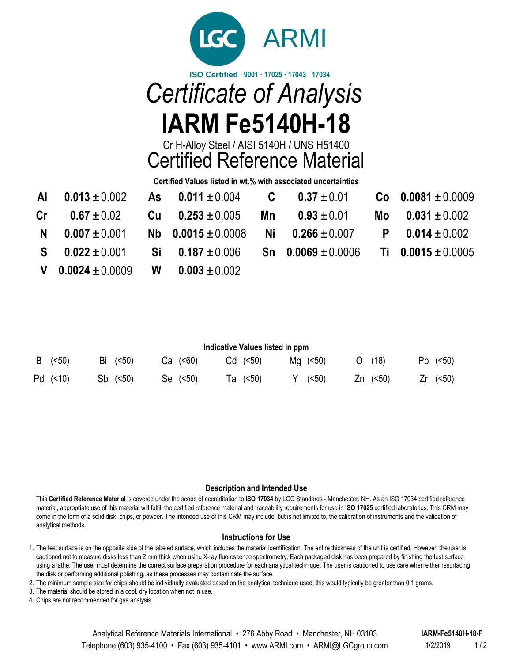

# **ISO Certified · 9001 · 17025 · 17043 · 17034** *Certificate of Analysis* **IARM Fe5140H-18**

Cr H-Alloy Steel / AISI 5140H / UNS H51400 Certified Reference Material

**Certified Values listed in wt.% with associated uncertainties**

| Al $0.013 \pm 0.002$ As $0.011 \pm 0.004$ C $0.37 \pm 0.01$ |                                             |                                               | $Co$ 0.0081 $\pm$ 0.0009   |
|-------------------------------------------------------------|---------------------------------------------|-----------------------------------------------|----------------------------|
| $Cr = 0.67 \pm 0.02$                                        | Cu $0.253 \pm 0.005$ Mn $0.93 \pm 0.01$     |                                               | Mo $0.031 \pm 0.002$       |
| $N = 0.007 \pm 0.001$                                       | Nb $0.0015 \pm 0.0008$ Ni $0.266 \pm 0.007$ |                                               | <b>P</b> 0.014 $\pm$ 0.002 |
| $S = 0.022 \pm 0.001$                                       | $Si$ 0.187 $\pm$ 0.006                      | Sn $0.0069 \pm 0.0006$ Ti $0.0015 \pm 0.0005$ |                            |
| <b>V</b> 0.0024 $\pm$ 0.0009 <b>W</b> 0.003 $\pm$ 0.002     |                                             |                                               |                            |

| Indicative Values listed in ppm |            |    |               |            |          |  |          |  |                   |  |            |    |               |
|---------------------------------|------------|----|---------------|------------|----------|--|----------|--|-------------------|--|------------|----|---------------|
|                                 | B (<50)    | Bi | ( <b>50</b> ) | $Ca$ (<60) |          |  | Cd (<50) |  | $Mq \approx (50)$ |  | (18)       | Pb | ( <b>50</b> ) |
|                                 | $Pd$ (<10) | Sb | ( <b>50</b> ) |            | Se (<50) |  | Ta (<50) |  | (< 50)            |  | $Zn$ (<50) |    | ( <b>50</b> ) |

# **Description and Intended Use**

This **Certified Reference Material** is covered under the scope of accreditation to **ISO 17034** by LGC Standards - Manchester, NH. As an ISO 17034 certified reference material, appropriate use of this material will fulfill the certified reference material and traceability requirements for use in **ISO 17025** certified laboratories. This CRM may come in the form of a solid disk, chips, or powder. The intended use of this CRM may include, but is not limited to, the calibration of instruments and the validation of analytical methods.

## **Instructions for Use**

1. The test surface is on the opposite side of the labeled surface, which includes the material identification. The entire thickness of the unit is certified. However, the user is cautioned not to measure disks less than 2 mm thick when using X-ray fluorescence spectrometry. Each packaged disk has been prepared by finishing the test surface using a lathe. The user must determine the correct surface preparation procedure for each analytical technique. The user is cautioned to use care when either resurfacing the disk or performing additional polishing, as these processes may contaminate the surface.

2. The minimum sample size for chips should be individually evaluated based on the analytical technique used; this would typically be greater than 0.1 grams.

3. The material should be stored in a cool, dry location when not in use.

4. Chips are not recommended for gas analysis.